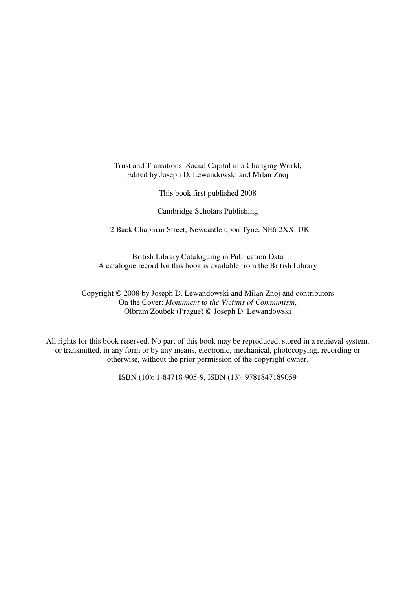Trust and Transitions: Social Capital in a Changing World, Edited by Joseph D. Lewandowski and Milan Znoj

This book first published 2008

Cambridge Scholars Publishing

12 Back Chapman Street, Newcastle upon Tyne, NE6 2XX, UK

British Library Cataloguing in Publication Data A catalogue record for this book is available from the British Library

Copyright © 2008 by Joseph D. Lewandowski and Milan Znoj and contributors On the Cover: *Monument to the Victims of Communism*, Olbram Zoubek (Prague) © Joseph D. Lewandowski

All rights for this book reserved. No part of this book may be reproduced, stored in a retrieval system, or transmitted, in any form or by any means, electronic, mechanical, photocopying, recording or otherwise, without the prior permission of the copyright owner.

ISBN (10): 1-84718-905-9, ISBN (13): 9781847189059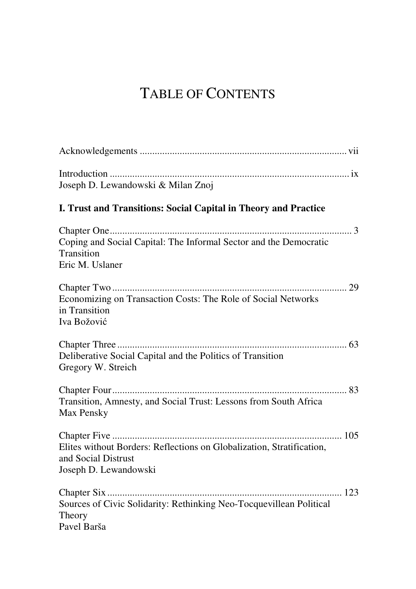# TABLE OF CONTENTS

| Joseph D. Lewandowski & Milan Znoj                                                                                    |
|-----------------------------------------------------------------------------------------------------------------------|
| I. Trust and Transitions: Social Capital in Theory and Practice                                                       |
| Coping and Social Capital: The Informal Sector and the Democratic<br>Transition<br>Eric M. Uslaner                    |
| Economizing on Transaction Costs: The Role of Social Networks<br>in Transition<br>Iva Božović                         |
| Deliberative Social Capital and the Politics of Transition<br>Gregory W. Streich                                      |
| Transition, Amnesty, and Social Trust: Lessons from South Africa<br>Max Pensky                                        |
| Elites without Borders: Reflections on Globalization, Stratification,<br>and Social Distrust<br>Joseph D. Lewandowski |
| Sources of Civic Solidarity: Rethinking Neo-Tocquevillean Political<br>Theory<br>Pavel Barša                          |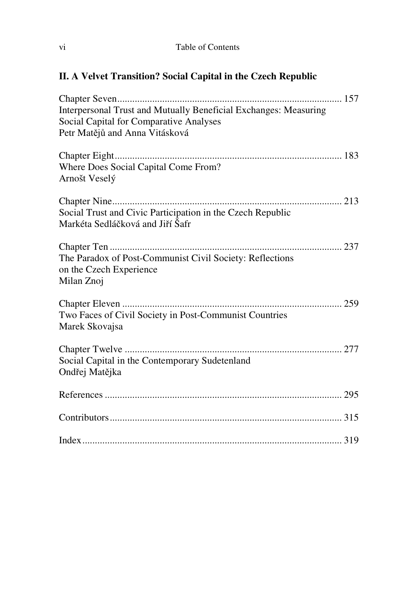#### **II. A Velvet Transition? Social Capital in the Czech Republic**

| Interpersonal Trust and Mutually Beneficial Exchanges: Measuring<br>Social Capital for Comparative Analyses<br>Petr Matějů and Anna Vitásková |
|-----------------------------------------------------------------------------------------------------------------------------------------------|
| Where Does Social Capital Come From?<br>Arnošt Veselý                                                                                         |
| Social Trust and Civic Participation in the Czech Republic<br>Markéta Sedláčková and Jiří Šafr                                                |
| The Paradox of Post-Communist Civil Society: Reflections<br>on the Czech Experience<br>Milan Znoj                                             |
| Two Faces of Civil Society in Post-Communist Countries<br>Marek Skovajsa                                                                      |
| Social Capital in the Contemporary Sudetenland<br>Ondřej Matějka                                                                              |
|                                                                                                                                               |
|                                                                                                                                               |
|                                                                                                                                               |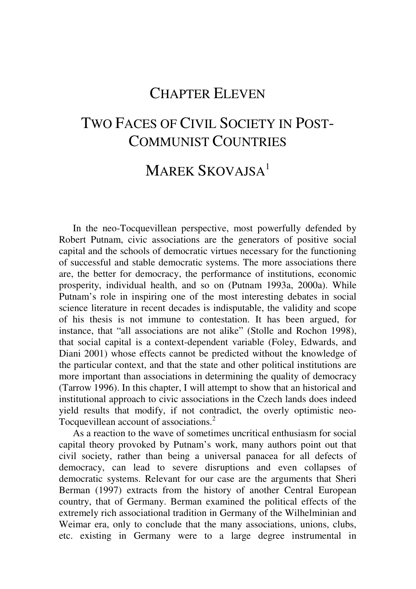### CHAPTER ELEVEN

### TWO FACES OF CIVIL SOCIETY IN POST-COMMUNIST COUNTRIES

## MAREK SKOVAISA<sup>1</sup>

In the neo-Tocquevillean perspective, most powerfully defended by Robert Putnam, civic associations are the generators of positive social capital and the schools of democratic virtues necessary for the functioning of successful and stable democratic systems. The more associations there are, the better for democracy, the performance of institutions, economic prosperity, individual health, and so on (Putnam 1993a, 2000a). While Putnam's role in inspiring one of the most interesting debates in social science literature in recent decades is indisputable, the validity and scope of his thesis is not immune to contestation. It has been argued, for instance, that "all associations are not alike" (Stolle and Rochon 1998), that social capital is a context-dependent variable (Foley, Edwards, and Diani 2001) whose effects cannot be predicted without the knowledge of the particular context, and that the state and other political institutions are more important than associations in determining the quality of democracy (Tarrow 1996). In this chapter, I will attempt to show that an historical and institutional approach to civic associations in the Czech lands does indeed yield results that modify, if not contradict, the overly optimistic neo-Tocquevillean account of associations.<sup>2</sup>

As a reaction to the wave of sometimes uncritical enthusiasm for social capital theory provoked by Putnam's work, many authors point out that civil society, rather than being a universal panacea for all defects of democracy, can lead to severe disruptions and even collapses of democratic systems. Relevant for our case are the arguments that Sheri Berman (1997) extracts from the history of another Central European country, that of Germany. Berman examined the political effects of the extremely rich associational tradition in Germany of the Wilhelminian and Weimar era, only to conclude that the many associations, unions, clubs, etc. existing in Germany were to a large degree instrumental in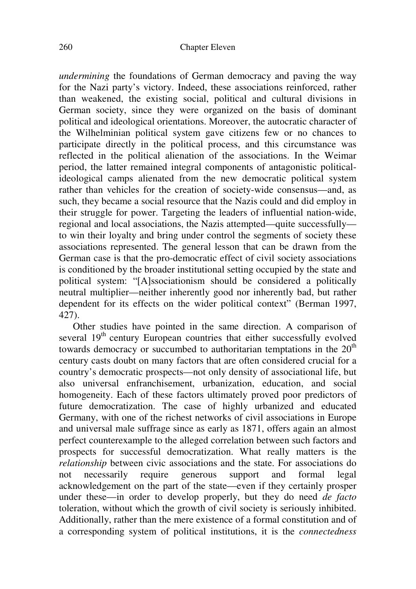*undermining* the foundations of German democracy and paving the way for the Nazi party's victory. Indeed, these associations reinforced, rather than weakened, the existing social, political and cultural divisions in German society, since they were organized on the basis of dominant political and ideological orientations. Moreover, the autocratic character of the Wilhelminian political system gave citizens few or no chances to participate directly in the political process, and this circumstance was reflected in the political alienation of the associations. In the Weimar period, the latter remained integral components of antagonistic politicalideological camps alienated from the new democratic political system rather than vehicles for the creation of society-wide consensus—and, as such, they became a social resource that the Nazis could and did employ in their struggle for power. Targeting the leaders of influential nation-wide, regional and local associations, the Nazis attempted—quite successfully to win their loyalty and bring under control the segments of society these associations represented. The general lesson that can be drawn from the German case is that the pro-democratic effect of civil society associations is conditioned by the broader institutional setting occupied by the state and political system: "[A]ssociationism should be considered a politically neutral multiplier—neither inherently good nor inherently bad, but rather dependent for its effects on the wider political context" (Berman 1997, 427).

Other studies have pointed in the same direction. A comparison of several 19<sup>th</sup> century European countries that either successfully evolved towards democracy or succumbed to authoritarian temptations in the  $20<sup>th</sup>$ century casts doubt on many factors that are often considered crucial for a country's democratic prospects—not only density of associational life, but also universal enfranchisement, urbanization, education, and social homogeneity. Each of these factors ultimately proved poor predictors of future democratization. The case of highly urbanized and educated Germany, with one of the richest networks of civil associations in Europe and universal male suffrage since as early as 1871, offers again an almost perfect counterexample to the alleged correlation between such factors and prospects for successful democratization. What really matters is the *relationship* between civic associations and the state. For associations do not necessarily require generous support and formal legal acknowledgement on the part of the state—even if they certainly prosper under these—in order to develop properly, but they do need *de facto* toleration, without which the growth of civil society is seriously inhibited. Additionally, rather than the mere existence of a formal constitution and of a corresponding system of political institutions, it is the *connectedness*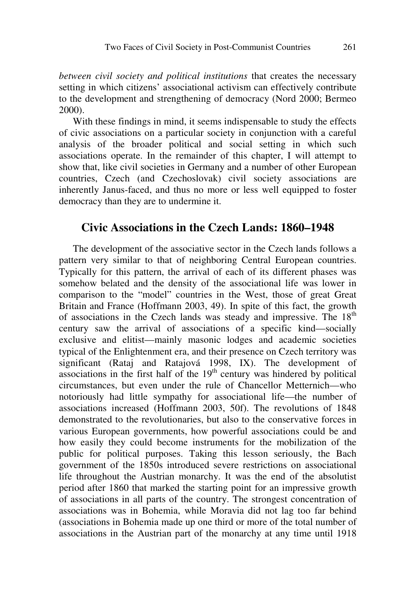*between civil society and political institutions* that creates the necessary setting in which citizens' associational activism can effectively contribute to the development and strengthening of democracy (Nord 2000; Bermeo 2000).

With these findings in mind, it seems indispensable to study the effects of civic associations on a particular society in conjunction with a careful analysis of the broader political and social setting in which such associations operate. In the remainder of this chapter, I will attempt to show that, like civil societies in Germany and a number of other European countries, Czech (and Czechoslovak) civil society associations are inherently Janus-faced, and thus no more or less well equipped to foster democracy than they are to undermine it.

#### **Civic Associations in the Czech Lands: 1860–1948**

The development of the associative sector in the Czech lands follows a pattern very similar to that of neighboring Central European countries. Typically for this pattern, the arrival of each of its different phases was somehow belated and the density of the associational life was lower in comparison to the "model" countries in the West, those of great Great Britain and France (Hoffmann 2003, 49). In spite of this fact, the growth of associations in the Czech lands was steady and impressive. The  $18<sup>th</sup>$ century saw the arrival of associations of a specific kind—socially exclusive and elitist—mainly masonic lodges and academic societies typical of the Enlightenment era, and their presence on Czech territory was significant (Rataj and Ratajová 1998, IX). The development of associations in the first half of the  $19<sup>th</sup>$  century was hindered by political circumstances, but even under the rule of Chancellor Metternich—who notoriously had little sympathy for associational life—the number of associations increased (Hoffmann 2003, 50f). The revolutions of 1848 demonstrated to the revolutionaries, but also to the conservative forces in various European governments, how powerful associations could be and how easily they could become instruments for the mobilization of the public for political purposes. Taking this lesson seriously, the Bach government of the 1850s introduced severe restrictions on associational life throughout the Austrian monarchy. It was the end of the absolutist period after 1860 that marked the starting point for an impressive growth of associations in all parts of the country. The strongest concentration of associations was in Bohemia, while Moravia did not lag too far behind (associations in Bohemia made up one third or more of the total number of associations in the Austrian part of the monarchy at any time until 1918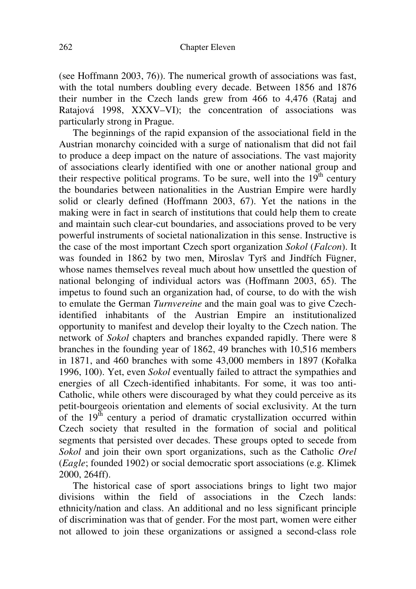(see Hoffmann 2003, 76)). The numerical growth of associations was fast, with the total numbers doubling every decade. Between 1856 and 1876 their number in the Czech lands grew from 466 to 4,476 (Rataj and Ratajová 1998, XXXV–VI); the concentration of associations was particularly strong in Prague.

The beginnings of the rapid expansion of the associational field in the Austrian monarchy coincided with a surge of nationalism that did not fail to produce a deep impact on the nature of associations. The vast majority of associations clearly identified with one or another national group and their respective political programs. To be sure, well into the  $19<sup>th</sup>$  century the boundaries between nationalities in the Austrian Empire were hardly solid or clearly defined (Hoffmann 2003, 67). Yet the nations in the making were in fact in search of institutions that could help them to create and maintain such clear-cut boundaries, and associations proved to be very powerful instruments of societal nationalization in this sense. Instructive is the case of the most important Czech sport organization *Sokol* (*Falcon*). It was founded in 1862 by two men, Miroslav Tyrš and Jindřích Fügner, whose names themselves reveal much about how unsettled the question of national belonging of individual actors was (Hoffmann 2003, 65). The impetus to found such an organization had, of course, to do with the wish to emulate the German *Turnvereine* and the main goal was to give Czechidentified inhabitants of the Austrian Empire an institutionalized opportunity to manifest and develop their loyalty to the Czech nation. The network of *Sokol* chapters and branches expanded rapidly. There were 8 branches in the founding year of 1862, 49 branches with 10,516 members in 1871, and 460 branches with some 43,000 members in 1897 (Kořalka 1996, 100). Yet, even *Sokol* eventually failed to attract the sympathies and energies of all Czech-identified inhabitants. For some, it was too anti-Catholic, while others were discouraged by what they could perceive as its petit-bourgeois orientation and elements of social exclusivity. At the turn of the  $19<sup>th</sup>$  century a period of dramatic crystallization occurred within Czech society that resulted in the formation of social and political segments that persisted over decades. These groups opted to secede from *Sokol* and join their own sport organizations, such as the Catholic *Orel* (*Eagle*; founded 1902) or social democratic sport associations (e.g. Klimek 2000, 264ff).

The historical case of sport associations brings to light two major divisions within the field of associations in the Czech lands: ethnicity/nation and class. An additional and no less significant principle of discrimination was that of gender. For the most part, women were either not allowed to join these organizations or assigned a second-class role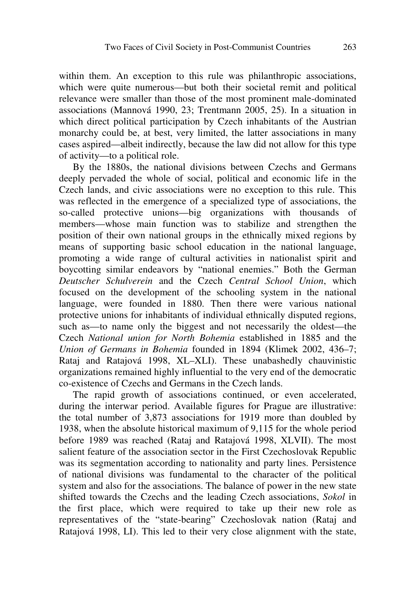within them. An exception to this rule was philanthropic associations, which were quite numerous—but both their societal remit and political relevance were smaller than those of the most prominent male-dominated associations (Mannová 1990, 23; Trentmann 2005, 25). In a situation in which direct political participation by Czech inhabitants of the Austrian monarchy could be, at best, very limited, the latter associations in many cases aspired—albeit indirectly, because the law did not allow for this type of activity—to a political role.

By the 1880s, the national divisions between Czechs and Germans deeply pervaded the whole of social, political and economic life in the Czech lands, and civic associations were no exception to this rule. This was reflected in the emergence of a specialized type of associations, the so-called protective unions—big organizations with thousands of members—whose main function was to stabilize and strengthen the position of their own national groups in the ethnically mixed regions by means of supporting basic school education in the national language, promoting a wide range of cultural activities in nationalist spirit and boycotting similar endeavors by "national enemies." Both the German *Deutscher Schulverein* and the Czech *Central School Union*, which focused on the development of the schooling system in the national language, were founded in 1880. Then there were various national protective unions for inhabitants of individual ethnically disputed regions, such as—to name only the biggest and not necessarily the oldest—the Czech *National union for North Bohemia* established in 1885 and the *Union of Germans in Bohemia* founded in 1894 (Klimek 2002, 436–7; Rataj and Ratajová 1998, XL–XLI). These unabashedly chauvinistic organizations remained highly influential to the very end of the democratic co-existence of Czechs and Germans in the Czech lands.

The rapid growth of associations continued, or even accelerated, during the interwar period. Available figures for Prague are illustrative: the total number of 3,873 associations for 1919 more than doubled by 1938, when the absolute historical maximum of 9,115 for the whole period before 1989 was reached (Rataj and Ratajová 1998, XLVII). The most salient feature of the association sector in the First Czechoslovak Republic was its segmentation according to nationality and party lines. Persistence of national divisions was fundamental to the character of the political system and also for the associations. The balance of power in the new state shifted towards the Czechs and the leading Czech associations, *Sokol* in the first place, which were required to take up their new role as representatives of the "state-bearing" Czechoslovak nation (Rataj and Ratajová 1998, LI). This led to their very close alignment with the state,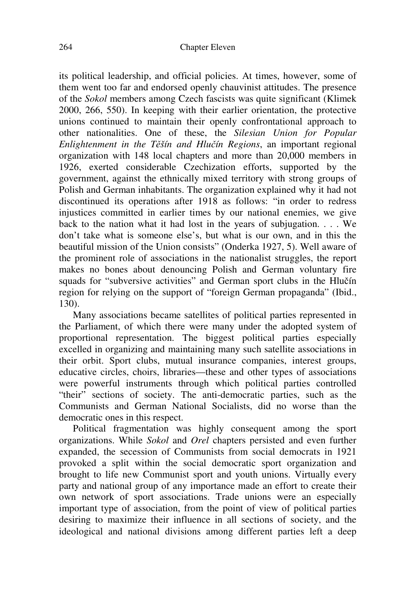its political leadership, and official policies. At times, however, some of them went too far and endorsed openly chauvinist attitudes. The presence of the *Sokol* members among Czech fascists was quite significant (Klimek 2000, 266, 550). In keeping with their earlier orientation, the protective unions continued to maintain their openly confrontational approach to other nationalities. One of these, the *Silesian Union for Popular Enlightenment in the T*ě*šín and Hlu*č*ín Regions*, an important regional organization with 148 local chapters and more than 20,000 members in 1926, exerted considerable Czechization efforts, supported by the government, against the ethnically mixed territory with strong groups of Polish and German inhabitants. The organization explained why it had not discontinued its operations after 1918 as follows: "in order to redress injustices committed in earlier times by our national enemies, we give back to the nation what it had lost in the years of subjugation. . . . We don't take what is someone else's, but what is our own, and in this the beautiful mission of the Union consists" (Onderka 1927, 5). Well aware of the prominent role of associations in the nationalist struggles, the report makes no bones about denouncing Polish and German voluntary fire squads for "subversive activities" and German sport clubs in the Hlučín region for relying on the support of "foreign German propaganda" (Ibid., 130).

Many associations became satellites of political parties represented in the Parliament, of which there were many under the adopted system of proportional representation. The biggest political parties especially excelled in organizing and maintaining many such satellite associations in their orbit. Sport clubs, mutual insurance companies, interest groups, educative circles, choirs, libraries—these and other types of associations were powerful instruments through which political parties controlled "their" sections of society. The anti-democratic parties, such as the Communists and German National Socialists, did no worse than the democratic ones in this respect.

Political fragmentation was highly consequent among the sport organizations. While *Sokol* and *Orel* chapters persisted and even further expanded, the secession of Communists from social democrats in 1921 provoked a split within the social democratic sport organization and brought to life new Communist sport and youth unions. Virtually every party and national group of any importance made an effort to create their own network of sport associations. Trade unions were an especially important type of association, from the point of view of political parties desiring to maximize their influence in all sections of society, and the ideological and national divisions among different parties left a deep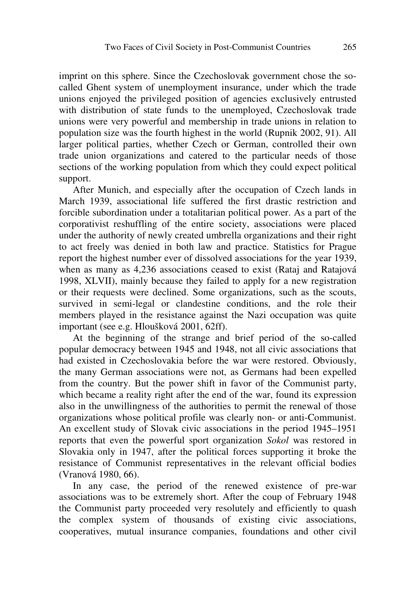imprint on this sphere. Since the Czechoslovak government chose the socalled Ghent system of unemployment insurance, under which the trade unions enjoyed the privileged position of agencies exclusively entrusted with distribution of state funds to the unemployed, Czechoslovak trade unions were very powerful and membership in trade unions in relation to population size was the fourth highest in the world (Rupnik 2002, 91). All larger political parties, whether Czech or German, controlled their own trade union organizations and catered to the particular needs of those sections of the working population from which they could expect political support.

After Munich, and especially after the occupation of Czech lands in March 1939, associational life suffered the first drastic restriction and forcible subordination under a totalitarian political power. As a part of the corporativist reshuffling of the entire society, associations were placed under the authority of newly created umbrella organizations and their right to act freely was denied in both law and practice. Statistics for Prague report the highest number ever of dissolved associations for the year 1939, when as many as 4,236 associations ceased to exist (Rataj and Ratajová 1998, XLVII), mainly because they failed to apply for a new registration or their requests were declined. Some organizations, such as the scouts, survived in semi-legal or clandestine conditions, and the role their members played in the resistance against the Nazi occupation was quite important (see e.g. Hloušková 2001, 62ff).

At the beginning of the strange and brief period of the so-called popular democracy between 1945 and 1948, not all civic associations that had existed in Czechoslovakia before the war were restored. Obviously, the many German associations were not, as Germans had been expelled from the country. But the power shift in favor of the Communist party, which became a reality right after the end of the war, found its expression also in the unwillingness of the authorities to permit the renewal of those organizations whose political profile was clearly non- or anti-Communist. An excellent study of Slovak civic associations in the period 1945–1951 reports that even the powerful sport organization *Sokol* was restored in Slovakia only in 1947, after the political forces supporting it broke the resistance of Communist representatives in the relevant official bodies (Vranová 1980, 66).

In any case, the period of the renewed existence of pre-war associations was to be extremely short. After the coup of February 1948 the Communist party proceeded very resolutely and efficiently to quash the complex system of thousands of existing civic associations, cooperatives, mutual insurance companies, foundations and other civil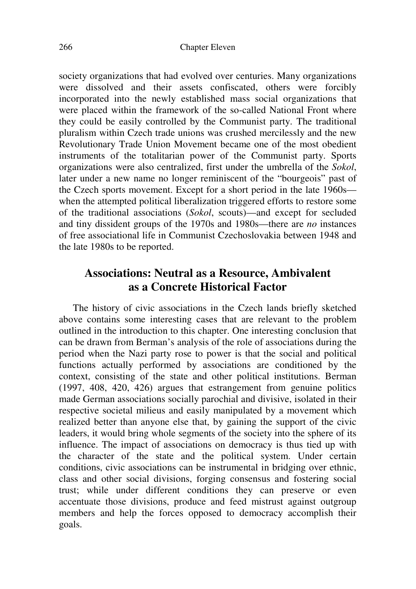society organizations that had evolved over centuries. Many organizations were dissolved and their assets confiscated, others were forcibly incorporated into the newly established mass social organizations that were placed within the framework of the so-called National Front where they could be easily controlled by the Communist party. The traditional pluralism within Czech trade unions was crushed mercilessly and the new Revolutionary Trade Union Movement became one of the most obedient instruments of the totalitarian power of the Communist party. Sports organizations were also centralized, first under the umbrella of the *Sokol*, later under a new name no longer reminiscent of the "bourgeois" past of the Czech sports movement. Except for a short period in the late 1960s when the attempted political liberalization triggered efforts to restore some of the traditional associations (*Sokol*, scouts)—and except for secluded and tiny dissident groups of the 1970s and 1980s—there are *no* instances of free associational life in Communist Czechoslovakia between 1948 and the late 1980s to be reported.

#### **Associations: Neutral as a Resource, Ambivalent as a Concrete Historical Factor**

The history of civic associations in the Czech lands briefly sketched above contains some interesting cases that are relevant to the problem outlined in the introduction to this chapter. One interesting conclusion that can be drawn from Berman's analysis of the role of associations during the period when the Nazi party rose to power is that the social and political functions actually performed by associations are conditioned by the context, consisting of the state and other political institutions. Berman (1997, 408, 420, 426) argues that estrangement from genuine politics made German associations socially parochial and divisive, isolated in their respective societal milieus and easily manipulated by a movement which realized better than anyone else that, by gaining the support of the civic leaders, it would bring whole segments of the society into the sphere of its influence. The impact of associations on democracy is thus tied up with the character of the state and the political system. Under certain conditions, civic associations can be instrumental in bridging over ethnic, class and other social divisions, forging consensus and fostering social trust; while under different conditions they can preserve or even accentuate those divisions, produce and feed mistrust against outgroup members and help the forces opposed to democracy accomplish their goals.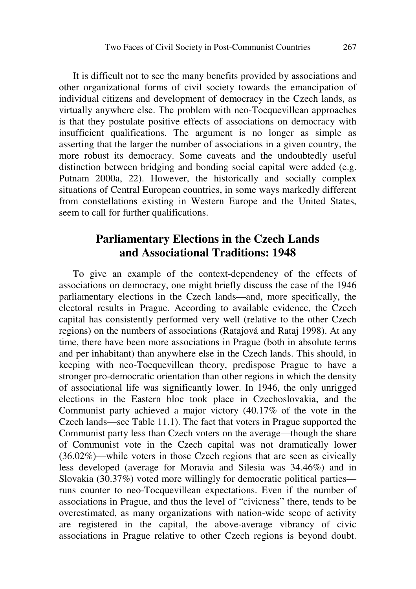It is difficult not to see the many benefits provided by associations and other organizational forms of civil society towards the emancipation of individual citizens and development of democracy in the Czech lands, as virtually anywhere else. The problem with neo-Tocquevillean approaches is that they postulate positive effects of associations on democracy with insufficient qualifications. The argument is no longer as simple as asserting that the larger the number of associations in a given country, the more robust its democracy. Some caveats and the undoubtedly useful distinction between bridging and bonding social capital were added (e.g. Putnam 2000a, 22). However, the historically and socially complex situations of Central European countries, in some ways markedly different from constellations existing in Western Europe and the United States, seem to call for further qualifications.

#### **Parliamentary Elections in the Czech Lands and Associational Traditions: 1948**

To give an example of the context-dependency of the effects of associations on democracy, one might briefly discuss the case of the 1946 parliamentary elections in the Czech lands—and, more specifically, the electoral results in Prague. According to available evidence, the Czech capital has consistently performed very well (relative to the other Czech regions) on the numbers of associations (Ratajová and Rataj 1998). At any time, there have been more associations in Prague (both in absolute terms and per inhabitant) than anywhere else in the Czech lands. This should, in keeping with neo-Tocquevillean theory, predispose Prague to have a stronger pro-democratic orientation than other regions in which the density of associational life was significantly lower. In 1946, the only unrigged elections in the Eastern bloc took place in Czechoslovakia, and the Communist party achieved a major victory (40.17% of the vote in the Czech lands—see Table 11.1). The fact that voters in Prague supported the Communist party less than Czech voters on the average—though the share of Communist vote in the Czech capital was not dramatically lower (36.02%)—while voters in those Czech regions that are seen as civically less developed (average for Moravia and Silesia was 34.46%) and in Slovakia (30.37%) voted more willingly for democratic political parties runs counter to neo-Tocquevillean expectations. Even if the number of associations in Prague, and thus the level of "civicness" there, tends to be overestimated, as many organizations with nation-wide scope of activity are registered in the capital, the above-average vibrancy of civic associations in Prague relative to other Czech regions is beyond doubt.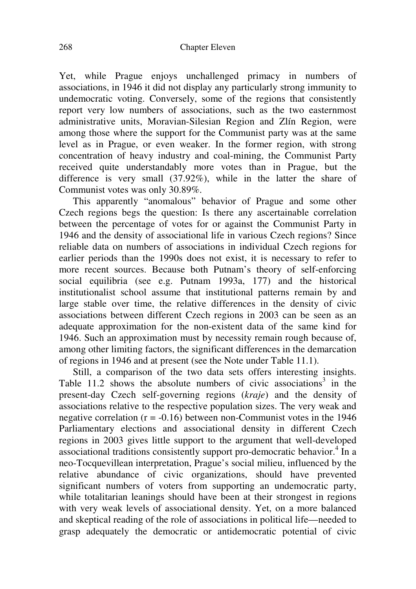Yet, while Prague enjoys unchallenged primacy in numbers of associations, in 1946 it did not display any particularly strong immunity to undemocratic voting. Conversely, some of the regions that consistently report very low numbers of associations, such as the two easternmost administrative units, Moravian-Silesian Region and Zlín Region, were among those where the support for the Communist party was at the same level as in Prague, or even weaker. In the former region, with strong concentration of heavy industry and coal-mining, the Communist Party received quite understandably more votes than in Prague, but the difference is very small (37.92%), while in the latter the share of Communist votes was only 30.89%.

This apparently "anomalous" behavior of Prague and some other Czech regions begs the question: Is there any ascertainable correlation between the percentage of votes for or against the Communist Party in 1946 and the density of associational life in various Czech regions? Since reliable data on numbers of associations in individual Czech regions for earlier periods than the 1990s does not exist, it is necessary to refer to more recent sources. Because both Putnam's theory of self-enforcing social equilibria (see e.g. Putnam 1993a, 177) and the historical institutionalist school assume that institutional patterns remain by and large stable over time, the relative differences in the density of civic associations between different Czech regions in 2003 can be seen as an adequate approximation for the non-existent data of the same kind for 1946. Such an approximation must by necessity remain rough because of, among other limiting factors, the significant differences in the demarcation of regions in 1946 and at present (see the Note under Table 11.1).

Still, a comparison of the two data sets offers interesting insights. Table 11.2 shows the absolute numbers of civic associations<sup>3</sup> in the present-day Czech self-governing regions (*kraje*) and the density of associations relative to the respective population sizes. The very weak and negative correlation ( $r = -0.16$ ) between non-Communist votes in the 1946 Parliamentary elections and associational density in different Czech regions in 2003 gives little support to the argument that well-developed associational traditions consistently support pro-democratic behavior.<sup>4</sup> In a neo-Tocquevillean interpretation, Prague's social milieu, influenced by the relative abundance of civic organizations, should have prevented significant numbers of voters from supporting an undemocratic party, while totalitarian leanings should have been at their strongest in regions with very weak levels of associational density. Yet, on a more balanced and skeptical reading of the role of associations in political life—needed to grasp adequately the democratic or antidemocratic potential of civic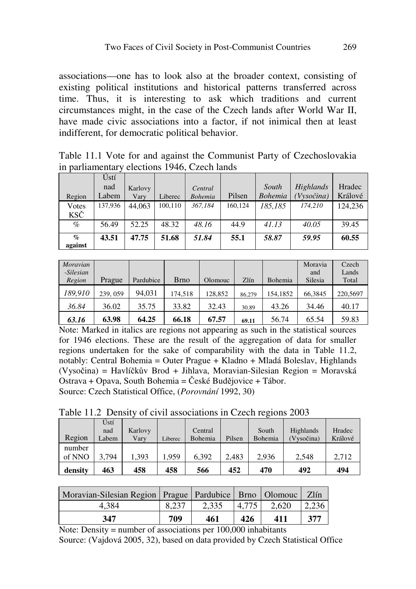associations—one has to look also at the broader context, consisting of existing political institutions and historical patterns transferred across time. Thus, it is interesting to ask which traditions and current circumstances might, in the case of the Czech lands after World War II, have made civic associations into a factor, if not inimical then at least indifferent, for democratic political behavior.

| Table 11.1 Vote for and against the Communist Party of Czechoslovakia |  |  |  |  |
|-----------------------------------------------------------------------|--|--|--|--|
| in parliamentary elections 1946, Czech lands                          |  |  |  |  |

|                                        | Ústí    |         |         |                |         |                |           |         |
|----------------------------------------|---------|---------|---------|----------------|---------|----------------|-----------|---------|
|                                        | nad     | Karlovy |         | Central        |         | South          | Highlands | Hradec  |
| Region                                 | Labem   | Varv    | Liberec | <b>Bohemia</b> | Pilsen  | <b>Bohemia</b> | Vysočina) | Králové |
| Votes                                  | 137,936 | 44.063  | 100.110 | 367.184        | 160.124 | 185.185        | 174.210   | 124,236 |
| KSČ                                    |         |         |         |                |         |                |           |         |
| $\%$                                   | 56.49   | 52.25   | 48.32   | 48.16          | 44.9    | 41.13          | 40.05     | 39.45   |
| $\mathcal{G}_{\mathcal{D}}$<br>against | 43.51   | 47.75   | 51.68   | 51.84          | 55.1    | 58.87          | 59.95     | 60.55   |

| <b>Moravian</b><br>-Silesian<br>Region | Prague   | Pardubice | <b>Brno</b> | Olomouc | Zlín   | Bohemia  | Moravia<br>and<br>Silesia | Czech<br>Lands<br>Total |
|----------------------------------------|----------|-----------|-------------|---------|--------|----------|---------------------------|-------------------------|
| 189,910                                | 239, 059 | 94.031    | 174.518     | 128,852 | 86.279 | 154,1852 | 66.3845                   | 220,5697                |
| 36.84                                  | 36.02    | 35.75     | 33.82       | 32.43   | 30.89  | 43.26    | 34.46                     | 40.17                   |
| 63.16                                  | 63.98    | 64.25     | 66.18       | 67.57   | 69.11  | 56.74    | 65.54                     | 59.83                   |

Note: Marked in italics are regions not appearing as such in the statistical sources for 1946 elections. These are the result of the aggregation of data for smaller regions undertaken for the sake of comparability with the data in Table 11.2, notably: Central Bohemia = Outer Prague + Kladno + Mladá Boleslav, Highlands (Vysočina) = Havlíčkův Brod + Jihlava, Moravian-Silesian Region = Moravská Ostrava + Opava, South Bohemia = České Budějovice + Tábor. Source: Czech Statistical Office, (*Porovnání* 1992, 30)

Table 11.2 Density of civil associations in Czech regions 2003

| Region           | Ústí<br>nad<br>Labem | Karlovy<br>Vary | Liberec | Central<br>Bohemia | Pilsen | South<br>Bohemia | Highlands<br>(Vysočina) | Hradec<br>Králové |
|------------------|----------------------|-----------------|---------|--------------------|--------|------------------|-------------------------|-------------------|
| number<br>of NNO | 3.794                | .393            | .959    | 6.392              | 2.483  | 2.936            | 2.548                   | 2.712             |
| density          | 463                  | 458             | 458     | 566                | 452    | 470              | 492                     | 494               |

| Moravian-Silesian Region   Prague   Pardubice   Brno   Olomouc   Zlín |       |       |       |       |       |
|-----------------------------------------------------------------------|-------|-------|-------|-------|-------|
| 4.384                                                                 | 8.237 | 2.335 | 4.775 | 2.620 | 2.236 |
| 347                                                                   | 709   | 461   | 426   | 411   | 377   |

Note: Density = number of associations per 100,000 inhabitants Source: (Vajdová 2005, 32), based on data provided by Czech Statistical Office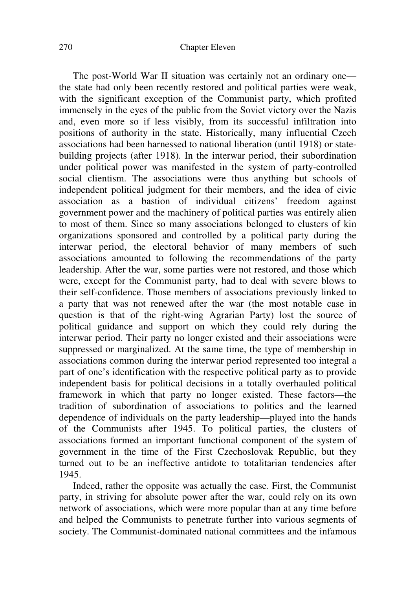The post-World War II situation was certainly not an ordinary one the state had only been recently restored and political parties were weak, with the significant exception of the Communist party, which profited immensely in the eyes of the public from the Soviet victory over the Nazis and, even more so if less visibly, from its successful infiltration into positions of authority in the state. Historically, many influential Czech associations had been harnessed to national liberation (until 1918) or statebuilding projects (after 1918). In the interwar period, their subordination under political power was manifested in the system of party-controlled social clientism. The associations were thus anything but schools of independent political judgment for their members, and the idea of civic association as a bastion of individual citizens' freedom against government power and the machinery of political parties was entirely alien to most of them. Since so many associations belonged to clusters of kin organizations sponsored and controlled by a political party during the interwar period, the electoral behavior of many members of such associations amounted to following the recommendations of the party leadership. After the war, some parties were not restored, and those which were, except for the Communist party, had to deal with severe blows to their self-confidence. Those members of associations previously linked to a party that was not renewed after the war (the most notable case in question is that of the right-wing Agrarian Party) lost the source of political guidance and support on which they could rely during the interwar period. Their party no longer existed and their associations were suppressed or marginalized. At the same time, the type of membership in associations common during the interwar period represented too integral a part of one's identification with the respective political party as to provide independent basis for political decisions in a totally overhauled political framework in which that party no longer existed. These factors—the tradition of subordination of associations to politics and the learned dependence of individuals on the party leadership—played into the hands of the Communists after 1945. To political parties, the clusters of associations formed an important functional component of the system of government in the time of the First Czechoslovak Republic, but they turned out to be an ineffective antidote to totalitarian tendencies after 1945.

Indeed, rather the opposite was actually the case. First, the Communist party, in striving for absolute power after the war, could rely on its own network of associations, which were more popular than at any time before and helped the Communists to penetrate further into various segments of society. The Communist-dominated national committees and the infamous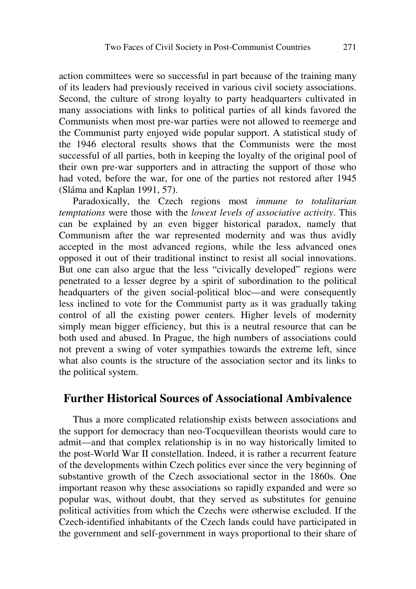action committees were so successful in part because of the training many of its leaders had previously received in various civil society associations. Second, the culture of strong loyalty to party headquarters cultivated in many associations with links to political parties of all kinds favored the Communists when most pre-war parties were not allowed to reemerge and the Communist party enjoyed wide popular support. A statistical study of the 1946 electoral results shows that the Communists were the most successful of all parties, both in keeping the loyalty of the original pool of their own pre-war supporters and in attracting the support of those who had voted, before the war, for one of the parties not restored after 1945 (Sláma and Kaplan 1991, 57).

Paradoxically, the Czech regions most *immune to totalitarian temptations* were those with the *lowest levels of associative activity*. This can be explained by an even bigger historical paradox, namely that Communism after the war represented modernity and was thus avidly accepted in the most advanced regions, while the less advanced ones opposed it out of their traditional instinct to resist all social innovations. But one can also argue that the less "civically developed" regions were penetrated to a lesser degree by a spirit of subordination to the political headquarters of the given social-political bloc—and were consequently less inclined to vote for the Communist party as it was gradually taking control of all the existing power centers. Higher levels of modernity simply mean bigger efficiency, but this is a neutral resource that can be both used and abused. In Prague, the high numbers of associations could not prevent a swing of voter sympathies towards the extreme left, since what also counts is the structure of the association sector and its links to the political system.

#### **Further Historical Sources of Associational Ambivalence**

Thus a more complicated relationship exists between associations and the support for democracy than neo-Tocquevillean theorists would care to admit—and that complex relationship is in no way historically limited to the post-World War II constellation. Indeed, it is rather a recurrent feature of the developments within Czech politics ever since the very beginning of substantive growth of the Czech associational sector in the 1860s. One important reason why these associations so rapidly expanded and were so popular was, without doubt, that they served as substitutes for genuine political activities from which the Czechs were otherwise excluded. If the Czech-identified inhabitants of the Czech lands could have participated in the government and self-government in ways proportional to their share of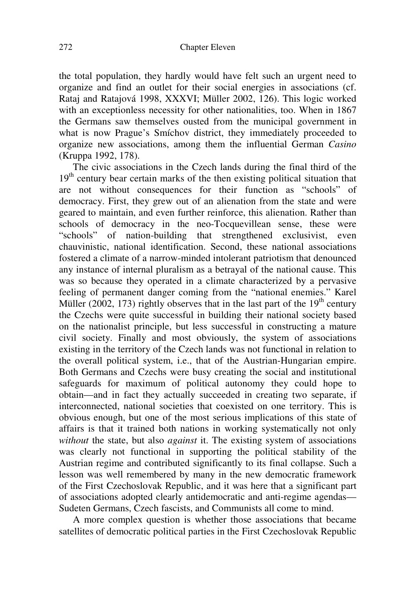the total population, they hardly would have felt such an urgent need to organize and find an outlet for their social energies in associations (cf. Rataj and Ratajová 1998, XXXVI; Müller 2002, 126). This logic worked with an exceptionless necessity for other nationalities, too. When in 1867 the Germans saw themselves ousted from the municipal government in what is now Prague's Smíchov district, they immediately proceeded to organize new associations, among them the influential German *Casino* (Kruppa 1992, 178).

The civic associations in the Czech lands during the final third of the 19<sup>th</sup> century bear certain marks of the then existing political situation that are not without consequences for their function as "schools" of democracy. First, they grew out of an alienation from the state and were geared to maintain, and even further reinforce, this alienation. Rather than schools of democracy in the neo-Tocquevillean sense, these were "schools" of nation-building that strengthened exclusivist, even chauvinistic, national identification. Second, these national associations fostered a climate of a narrow-minded intolerant patriotism that denounced any instance of internal pluralism as a betrayal of the national cause. This was so because they operated in a climate characterized by a pervasive feeling of permanent danger coming from the "national enemies." Karel Müller (2002, 173) rightly observes that in the last part of the  $19<sup>th</sup>$  century the Czechs were quite successful in building their national society based on the nationalist principle, but less successful in constructing a mature civil society. Finally and most obviously, the system of associations existing in the territory of the Czech lands was not functional in relation to the overall political system, i.e., that of the Austrian-Hungarian empire. Both Germans and Czechs were busy creating the social and institutional safeguards for maximum of political autonomy they could hope to obtain—and in fact they actually succeeded in creating two separate, if interconnected, national societies that coexisted on one territory. This is obvious enough, but one of the most serious implications of this state of affairs is that it trained both nations in working systematically not only *without* the state, but also *against* it. The existing system of associations was clearly not functional in supporting the political stability of the Austrian regime and contributed significantly to its final collapse. Such a lesson was well remembered by many in the new democratic framework of the First Czechoslovak Republic, and it was here that a significant part of associations adopted clearly antidemocratic and anti-regime agendas— Sudeten Germans, Czech fascists, and Communists all come to mind.

A more complex question is whether those associations that became satellites of democratic political parties in the First Czechoslovak Republic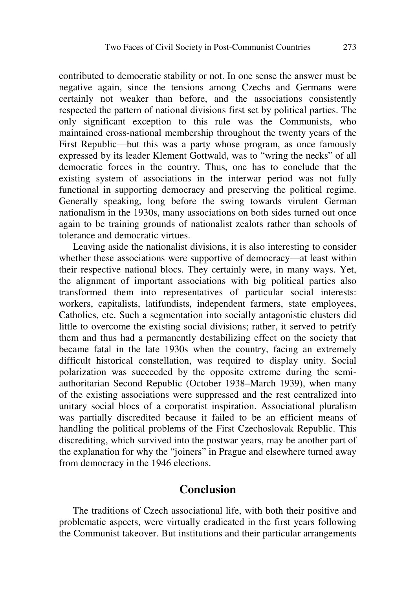contributed to democratic stability or not. In one sense the answer must be negative again, since the tensions among Czechs and Germans were certainly not weaker than before, and the associations consistently respected the pattern of national divisions first set by political parties. The only significant exception to this rule was the Communists, who maintained cross-national membership throughout the twenty years of the First Republic—but this was a party whose program, as once famously expressed by its leader Klement Gottwald, was to "wring the necks" of all democratic forces in the country. Thus, one has to conclude that the existing system of associations in the interwar period was not fully functional in supporting democracy and preserving the political regime. Generally speaking, long before the swing towards virulent German nationalism in the 1930s, many associations on both sides turned out once again to be training grounds of nationalist zealots rather than schools of tolerance and democratic virtues.

Leaving aside the nationalist divisions, it is also interesting to consider whether these associations were supportive of democracy—at least within their respective national blocs. They certainly were, in many ways. Yet, the alignment of important associations with big political parties also transformed them into representatives of particular social interests: workers, capitalists, latifundists, independent farmers, state employees, Catholics, etc. Such a segmentation into socially antagonistic clusters did little to overcome the existing social divisions; rather, it served to petrify them and thus had a permanently destabilizing effect on the society that became fatal in the late 1930s when the country, facing an extremely difficult historical constellation, was required to display unity. Social polarization was succeeded by the opposite extreme during the semiauthoritarian Second Republic (October 1938–March 1939), when many of the existing associations were suppressed and the rest centralized into unitary social blocs of a corporatist inspiration. Associational pluralism was partially discredited because it failed to be an efficient means of handling the political problems of the First Czechoslovak Republic. This discrediting, which survived into the postwar years, may be another part of the explanation for why the "joiners" in Prague and elsewhere turned away from democracy in the 1946 elections.

#### **Conclusion**

The traditions of Czech associational life, with both their positive and problematic aspects, were virtually eradicated in the first years following the Communist takeover. But institutions and their particular arrangements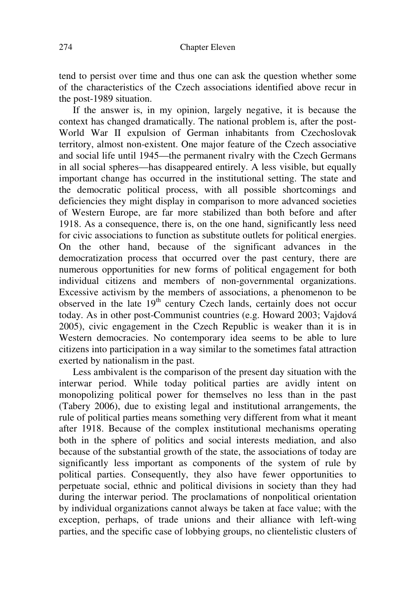tend to persist over time and thus one can ask the question whether some of the characteristics of the Czech associations identified above recur in the post-1989 situation.

If the answer is, in my opinion, largely negative, it is because the context has changed dramatically. The national problem is, after the post-World War II expulsion of German inhabitants from Czechoslovak territory, almost non-existent. One major feature of the Czech associative and social life until 1945—the permanent rivalry with the Czech Germans in all social spheres—has disappeared entirely. A less visible, but equally important change has occurred in the institutional setting. The state and the democratic political process, with all possible shortcomings and deficiencies they might display in comparison to more advanced societies of Western Europe, are far more stabilized than both before and after 1918. As a consequence, there is, on the one hand, significantly less need for civic associations to function as substitute outlets for political energies. On the other hand, because of the significant advances in the democratization process that occurred over the past century, there are numerous opportunities for new forms of political engagement for both individual citizens and members of non-governmental organizations. Excessive activism by the members of associations, a phenomenon to be observed in the late 19<sup>th</sup> century Czech lands, certainly does not occur today. As in other post-Communist countries (e.g. Howard 2003; Vajdová 2005), civic engagement in the Czech Republic is weaker than it is in Western democracies. No contemporary idea seems to be able to lure citizens into participation in a way similar to the sometimes fatal attraction exerted by nationalism in the past.

Less ambivalent is the comparison of the present day situation with the interwar period. While today political parties are avidly intent on monopolizing political power for themselves no less than in the past (Tabery 2006), due to existing legal and institutional arrangements, the rule of political parties means something very different from what it meant after 1918. Because of the complex institutional mechanisms operating both in the sphere of politics and social interests mediation, and also because of the substantial growth of the state, the associations of today are significantly less important as components of the system of rule by political parties. Consequently, they also have fewer opportunities to perpetuate social, ethnic and political divisions in society than they had during the interwar period. The proclamations of nonpolitical orientation by individual organizations cannot always be taken at face value; with the exception, perhaps, of trade unions and their alliance with left-wing parties, and the specific case of lobbying groups, no clientelistic clusters of